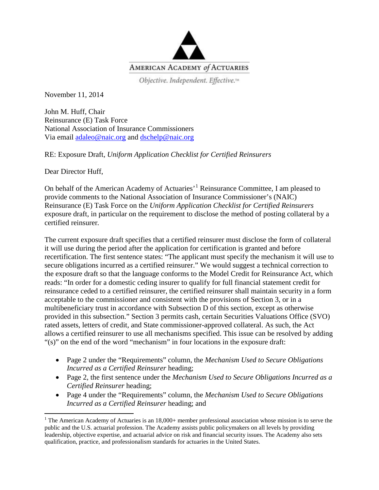

Objective. Independent. Effective.<sup>14</sup>

November 11, 2014

John M. Huff, Chair Reinsurance (E) Task Force National Association of Insurance Commissioners Via email [adaleo@naic.org](mailto:adaleo@naic.org) and [dschelp@naic.org](mailto:dschelp@naic.org)

RE: Exposure Draft, *Uniform Application Checklist for Certified Reinsurers*

Dear Director Huff,

On behalf of the American Academy of Actuaries<sup>, [1](#page-0-0)</sup> Reinsurance Committee, I am pleased to provide comments to the National Association of Insurance Commissioner's (NAIC) Reinsurance (E) Task Force on the *Uniform Application Checklist for Certified Reinsurers* exposure draft, in particular on the requirement to disclose the method of posting collateral by a certified reinsurer*.*

The current exposure draft specifies that a certified reinsurer must disclose the form of collateral it will use during the period after the application for certification is granted and before recertification. The first sentence states: "The applicant must specify the mechanism it will use to secure obligations incurred as a certified reinsurer." We would suggest a technical correction to the exposure draft so that the language conforms to the Model Credit for Reinsurance Act, which reads: "In order for a domestic ceding insurer to qualify for full financial statement credit for reinsurance ceded to a certified reinsurer, the certified reinsurer shall maintain security in a form acceptable to the commissioner and consistent with the provisions of Section 3, or in a multibeneficiary trust in accordance with Subsection D of this section, except as otherwise provided in this subsection." Section 3 permits cash, certain Securities Valuations Office (SVO) rated assets, letters of credit, and State commissioner-approved collateral. As such, the Act allows a certified reinsurer to use all mechanisms specified. This issue can be resolved by adding "(s)" on the end of the word "mechanism" in four locations in the exposure draft:

- Page 2 under the "Requirements" column, the *Mechanism Used to Secure Obligations Incurred as a Certified Reinsurer* heading;
- Page 2, the first sentence under the *Mechanism Used to Secure Obligations Incurred as a Certified Reinsurer* heading;
- Page 4 under the "Requirements" column, the *Mechanism Used to Secure Obligations Incurred as a Certified Reinsurer* heading; and

<span id="page-0-0"></span><sup>&</sup>lt;sup>1</sup> The American Academy of Actuaries is an  $18,000+$  member professional association whose mission is to serve the public and the U.S. actuarial profession. The Academy assists public policymakers on all levels by providing leadership, objective expertise, and actuarial advice on risk and financial security issues. The Academy also sets qualification, practice, and professionalism standards for actuaries in the United States.